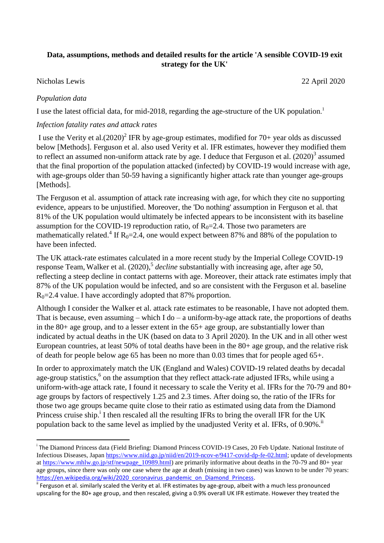## **Data, assumptions, methods and detailed results for the article 'A sensible COVID-19 exit strategy for the UK'**

#### Nicholas Lewis 22 April 2020

### *Population data*

<u>.</u>

I use the latest official data, for mid-2018, regarding the age-structure of the UK population.<sup>1</sup>

### *Infection fatality rates and attack rates*

I use the Verity et al. $(2020)^2$  IFR by age-group estimates, modified for 70+ year olds as discussed below [Methods]. Ferguson et al. also used Verity et al. IFR estimates, however they modified them to reflect an assumed non-uniform attack rate by age. I deduce that Ferguson et al.  $(2020)^3$  assumed that the final proportion of the population attacked (infected) by COVID-19 would increase with age, with age-groups older than 50-59 having a significantly higher attack rate than younger age-groups [Methods].

The Ferguson et al. assumption of attack rate increasing with age, for which they cite no supporting evidence, appears to be unjustified. Moreover, the 'Do nothing' assumption in Ferguson et al. that 81% of the UK population would ultimately be infected appears to be inconsistent with its baseline assumption for the COVID-19 reproduction ratio, of  $R_0$ =2.4. Those two parameters are mathematically related.<sup>4</sup> If  $R_0 = 2.4$ , one would expect between 87% and 88% of the population to have been infected.

The UK attack-rate estimates calculated in a more recent study by the Imperial College COVID-19 response Team, Walker et al. (2020), 5 *decline* substantially with increasing age, after age 50, reflecting a steep decline in contact patterns with age. Moreover, their attack rate estimates imply that 87% of the UK population would be infected, and so are consistent with the Ferguson et al. baseline  $R<sub>0</sub>=2.4$  value. I have accordingly adopted that 87% proportion.

Although I consider the Walker et al. attack rate estimates to be reasonable, I have not adopted them. That is because, even assuming – which I do – a uniform-by-age attack rate, the proportions of deaths in the 80+ age group, and to a lesser extent in the 65+ age group, are substantially lower than indicated by actual deaths in the UK (based on data to 3 April 2020). In the UK and in all other west European countries, at least 50% of total deaths have been in the 80+ age group, and the relative risk of death for people below age 65 has been no more than 0.03 times that for people aged 65+.

In order to approximately match the UK (England and Wales) COVID-19 related deaths by decadal age-group statistics,<sup>6</sup> on the assumption that they reflect attack-rate adjusted IFRs, while using a uniform-with-age attack rate, I found it necessary to scale the Verity et al. IFRs for the 70-79 and 80+ age groups by factors of respectively 1.25 and 2.3 times. After doing so, the ratio of the IFRs for those two age groups became quite close to their ratio as estimated using data from the Diamond Princess cruise ship.<sup>i</sup> I then rescaled all the resulting IFRs to bring the overall IFR for the UK population back to the same level as implied by the unadjusted Verity et al. IFRs, of 0.90%.<sup>ii</sup>

<sup>&</sup>lt;sup>i</sup> The Diamond Princess data (Field Briefing: Diamond Princess COVID-19 Cases, 20 Feb Update. National Institute of Infectious Diseases, Japan [https://www.niid.go.jp/niid/en/2019-ncov-e/9417-covid-dp-fe-02.html;](https://www.niid.go.jp/niid/en/2019-ncov-e/9417-covid-dp-fe-02.html) update of developments at [https://www.mhlw.go.jp/stf/newpage\\_10989.html\)](https://www.mhlw.go.jp/stf/newpage_10989.html) are primarily informative about deaths in the 70-79 and 80+ year age groups, since there was only one case where the age at death (missing in two cases) was known to be under 70 years: https://en.wikipedia.org/wiki/2020 coronavirus pandemic on Diamond Princess.

<sup>&</sup>lt;sup>ii</sup> Ferguson et al. similarly scaled the Verity et al. IFR estimates by age-group, albeit with a much less pronounced upscaling for the 80+ age group, and then rescaled, giving a 0.9% overall UK IFR estimate. However they treated the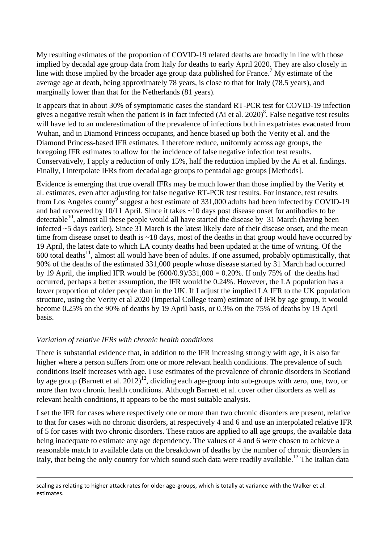My resulting estimates of the proportion of COVID-19 related deaths are broadly in line with those implied by decadal age group data from Italy for deaths to early April 2020. They are also closely in line with those implied by the broader age group data published for France.<sup>7</sup> My estimate of the average age at death, being approximately 78 years, is close to that for Italy (78.5 years), and marginally lower than that for the Netherlands (81 years).

It appears that in about 30% of symptomatic cases the standard RT-PCR test for COVID-19 infection gives a negative result when the patient is in fact infected (Ai et al. 2020)<sup>8</sup>. False negative test results will have led to an underestimation of the prevalence of infections both in expatriates evacuated from Wuhan, and in Diamond Princess occupants, and hence biased up both the Verity et al. and the Diamond Princess-based IFR estimates. I therefore reduce, uniformly across age groups, the foregoing IFR estimates to allow for the incidence of false negative infection test results. Conservatively, I apply a reduction of only 15%, half the reduction implied by the Ai et al. findings. Finally, I interpolate IFRs from decadal age groups to pentadal age groups [Methods].

Evidence is emerging that true overall IFRs may be much lower than those implied by the Verity et al. estimates, even after adjusting for false negative RT-PCR test results. For instance, test results from Los Angeles county<sup>9</sup> suggest a best estimate of 331,000 adults had been infected by COVID-19 and had recovered by 10/11 April. Since it takes ~10 days post disease onset for antibodies to be detectable<sup>10</sup>, almost all these people would all have started the disease by  $31$  March (having been infected ~5 days earlier). Since 31 March is the latest likely date of their disease onset, and the mean time from disease onset to death is ~18 days, most of the deaths in that group would have occurred by 19 April, the latest date to which LA county deaths had been updated at the time of writing. Of the  $600$  total deaths<sup>11</sup>, almost all would have been of adults. If one assumed, probably optimistically, that 90% of the deaths of the estimated 331,000 people whose disease started by 31 March had occurred by 19 April, the implied IFR would be  $(600/0.9)/331,000 = 0.20\%$ . If only 75% of the deaths had occurred, perhaps a better assumption, the IFR would be 0.24%. However, the LA population has a lower proportion of older people than in the UK. If I adjust the implied LA IFR to the UK population structure, using the Verity et al 2020 (Imperial College team) estimate of IFR by age group, it would become 0.25% on the 90% of deaths by 19 April basis, or 0.3% on the 75% of deaths by 19 April basis.

## *Variation of relative IFRs with chronic health conditions*

<u>.</u>

There is substantial evidence that, in addition to the IFR increasing strongly with age, it is also far higher where a person suffers from one or more relevant health conditions. The prevalence of such conditions itself increases with age. I use estimates of the prevalence of chronic disorders in Scotland by age group (Barnett et al. 2012)<sup>12</sup>, dividing each age-group into sub-groups with zero, one, two, or more than two chronic health conditions. Although Barnett et al. cover other disorders as well as relevant health conditions, it appears to be the most suitable analysis.

I set the IFR for cases where respectively one or more than two chronic disorders are present, relative to that for cases with no chronic disorders, at respectively 4 and 6 and use an interpolated relative IFR of 5 for cases with two chronic disorders. These ratios are applied to all age groups, the available data being inadequate to estimate any age dependency. The values of 4 and 6 were chosen to achieve a reasonable match to available data on the breakdown of deaths by the number of chronic disorders in Italy, that being the only country for which sound such data were readily available.<sup>13</sup> The Italian data

scaling as relating to higher attack rates for older age-groups, which is totally at variance with the Walker et al. estimates.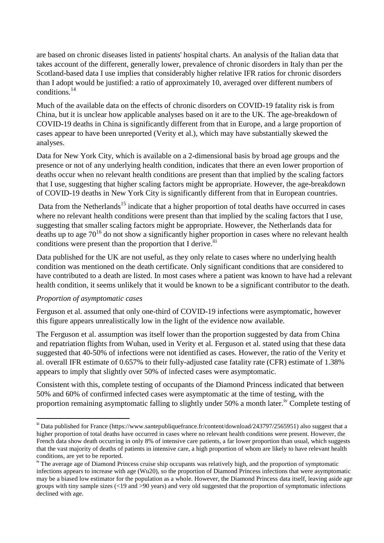are based on chronic diseases listed in patients' hospital charts. An analysis of the Italian data that takes account of the different, generally lower, prevalence of chronic disorders in Italy than per the Scotland-based data I use implies that considerably higher relative IFR ratios for chronic disorders than I adopt would be justified: a ratio of approximately 10, averaged over different numbers of conditions.<sup>14</sup>

Much of the available data on the effects of chronic disorders on COVID-19 fatality risk is from China, but it is unclear how applicable analyses based on it are to the UK. The age-breakdown of COVID-19 deaths in China is significantly different from that in Europe, and a large proportion of cases appear to have been unreported (Verity et al.), which may have substantially skewed the analyses.

Data for New York City, which is available on a 2-dimensional basis by broad age groups and the presence or not of any underlying health condition, indicates that there an even lower proportion of deaths occur when no relevant health conditions are present than that implied by the scaling factors that I use, suggesting that higher scaling factors might be appropriate. However, the age-breakdown of COVID-19 deaths in New York City is significantly different from that in European countries.

Data from the Netherlands<sup>15</sup> indicate that a higher proportion of total deaths have occurred in cases where no relevant health conditions were present than that implied by the scaling factors that I use, suggesting that smaller scaling factors might be appropriate. However, the Netherlands data for deaths up to age  $70^{16}$  do not show a significantly higher proportion in cases where no relevant health conditions were present than the proportion that I derive.<sup>iii</sup>

Data published for the UK are not useful, as they only relate to cases where no underlying health condition was mentioned on the death certificate. Only significant conditions that are considered to have contributed to a death are listed. In most cases where a patient was known to have had a relevant health condition, it seems unlikely that it would be known to be a significant contributor to the death.

### *Proportion of asymptomatic cases*

<u>.</u>

Ferguson et al. assumed that only one-third of COVID-19 infections were asymptomatic, however this figure appears unrealistically low in the light of the evidence now available.

The Ferguson et al. assumption was itself lower than the proportion suggested by data from China and repatriation flights from Wuhan, used in Verity et al. Ferguson et al. stated using that these data suggested that 40-50% of infections were not identified as cases. However, the ratio of the Verity et al. overall IFR estimate of 0.657% to their fully-adjusted case fatality rate (CFR) estimate of 1.38% appears to imply that slightly over 50% of infected cases were asymptomatic.

Consistent with this, complete testing of occupants of the Diamond Princess indicated that between 50% and 60% of confirmed infected cases were asymptomatic at the time of testing, with the proportion remaining asymptomatic falling to slightly under 50% a month later.<sup>iv</sup> Complete testing of

<sup>&</sup>lt;sup>iii</sup> Data published for France (https://www.santepubliquefrance.fr/content/download/243797/2565951) also suggest that a higher proportion of total deaths have occurred in cases where no relevant health conditions were present. However, the French data show death occurring in only 8% of intensive care patients, a far lower proportion than usual, which suggests that the vast majority of deaths of patients in intensive care, a high proportion of whom are likely to have relevant health conditions, are yet to be reported.

<sup>&</sup>lt;sup>iv</sup> The average age of Diamond Princess cruise ship occupants was relatively high, and the proportion of symptomatic infections appears to increase with age (Wu20), so the proportion of Diamond Princess infections that were asymptomatic may be a biased low estimator for the population as a whole. However, the Diamond Princess data itself, leaving aside age groups with tiny sample sizes (<19 and >90 years) and very old suggested that the proportion of symptomatic infections declined with age.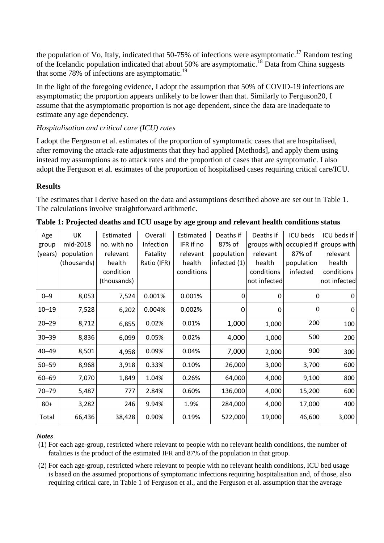the population of Vo, Italy, indicated that 50-75% of infections were asymptomatic.<sup>17</sup> Random testing of the Icelandic population indicated that about 50% are asymptomatic.<sup>18</sup> Data from China suggests that some 78% of infections are asymptomatic.<sup>19</sup>

In the light of the foregoing evidence, I adopt the assumption that 50% of COVID-19 infections are asymptomatic; the proportion appears unlikely to be lower than that. Similarly to Ferguson20, I assume that the asymptomatic proportion is not age dependent, since the data are inadequate to estimate any age dependency.

# *Hospitalisation and critical care (ICU) rates*

I adopt the Ferguson et al. estimates of the proportion of symptomatic cases that are hospitalised, after removing the attack-rate adjustments that they had applied [Methods], and apply them using instead my assumptions as to attack rates and the proportion of cases that are symptomatic. I also adopt the Ferguson et al. estimates of the proportion of hospitalised cases requiring critical care/ICU.

## **Results**

The estimates that I derive based on the data and assumptions described above are set out in Table 1. The calculations involve straightforward arithmetic.

| Age<br>group<br>(years) | UK<br>mid-2018<br>population<br>(thousands) | Estimated<br>no. with no<br>relevant<br>health<br>condition<br>(thousands) | Overall<br>Infection<br>Fatality<br>Ratio (IFR) | Estimated<br>IFR if no<br>relevant<br>health<br>conditions | Deaths if<br>87% of<br>population<br>infected (1) | Deaths if<br>groups with<br>relevant<br>health<br>conditions<br>not infected | ICU beds<br>occupied if<br>87% of<br>population<br>infected | ICU beds if<br>groups with<br>relevant<br>health<br>conditions<br>not infected |
|-------------------------|---------------------------------------------|----------------------------------------------------------------------------|-------------------------------------------------|------------------------------------------------------------|---------------------------------------------------|------------------------------------------------------------------------------|-------------------------------------------------------------|--------------------------------------------------------------------------------|
| $0 - 9$                 | 8,053                                       | 7,524                                                                      | 0.001%                                          | 0.001%                                                     | 0                                                 | 0                                                                            | 0                                                           | $\mathbf 0$                                                                    |
| $10 - 19$               | 7,528                                       | 6,202                                                                      | 0.004%                                          | 0.002%                                                     | 0                                                 | 0                                                                            | 0                                                           | 0                                                                              |
| $20 - 29$               | 8,712                                       | 6,855                                                                      | 0.02%                                           | 0.01%                                                      | 1,000                                             | 1,000                                                                        | 200                                                         | 100                                                                            |
| $30 - 39$               | 8,836                                       | 6,099                                                                      | 0.05%                                           | 0.02%                                                      | 4,000                                             | 1,000                                                                        | 500                                                         | 200                                                                            |
| $40 - 49$               | 8,501                                       | 4,958                                                                      | 0.09%                                           | 0.04%                                                      | 7,000                                             | 2,000                                                                        | 900                                                         | 300                                                                            |
| $50 - 59$               | 8,968                                       | 3,918                                                                      | 0.33%                                           | 0.10%                                                      | 26,000                                            | 3,000                                                                        | 3,700                                                       | 600                                                                            |
| $60 - 69$               | 7,070                                       | 1,849                                                                      | 1.04%                                           | 0.26%                                                      | 64,000                                            | 4,000                                                                        | 9,100                                                       | 800                                                                            |
| $70 - 79$               | 5,487                                       | 777                                                                        | 2.84%                                           | 0.60%                                                      | 136,000                                           | 4,000                                                                        | 15,200                                                      | 600                                                                            |
| $80 +$                  | 3,282                                       | 246                                                                        | 9.94%                                           | 1.9%                                                       | 284,000                                           | 4,000                                                                        | 17,000                                                      | 400                                                                            |
| Total                   | 66,436                                      | 38,428                                                                     | 0.90%                                           | 0.19%                                                      | 522,000                                           | 19,000                                                                       | 46,600                                                      | 3,000                                                                          |

| Table 1: Projected deaths and ICU usage by age group and relevant health conditions status |  |  |
|--------------------------------------------------------------------------------------------|--|--|
|                                                                                            |  |  |

## *Notes*

- (1) For each age-group, restricted where relevant to people with no relevant health conditions, the number of fatalities is the product of the estimated IFR and 87% of the population in that group.
- (2) For each age-group, restricted where relevant to people with no relevant health conditions, ICU bed usage is based on the assumed proportions of symptomatic infections requiring hospitalisation and, of those, also requiring critical care, in Table 1 of Ferguson et al., and the Ferguson et al. assumption that the average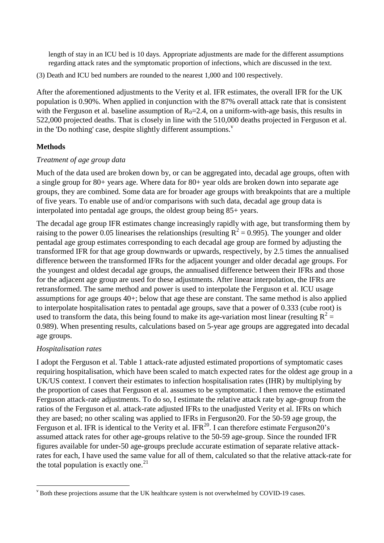length of stay in an ICU bed is 10 days. Appropriate adjustments are made for the different assumptions regarding attack rates and the symptomatic proportion of infections, which are discussed in the text.

(3) Death and ICU bed numbers are rounded to the nearest 1,000 and 100 respectively.

After the aforementioned adjustments to the Verity et al. IFR estimates, the overall IFR for the UK population is 0.90%. When applied in conjunction with the 87% overall attack rate that is consistent with the Ferguson et al. baseline assumption of  $R_0 = 2.4$ , on a uniform-with-age basis, this results in 522,000 projected deaths. That is closely in line with the 510,000 deaths projected in Ferguson et al. in the 'Do nothing' case, despite slightly different assumptions. $\overline{v}$ 

### **Methods**

### *Treatment of age group data*

Much of the data used are broken down by, or can be aggregated into, decadal age groups, often with a single group for 80+ years age. Where data for 80+ year olds are broken down into separate age groups, they are combined. Some data are for broader age groups with breakpoints that are a multiple of five years. To enable use of and/or comparisons with such data, decadal age group data is interpolated into pentadal age groups, the oldest group being 85+ years.

The decadal age group IFR estimates change increasingly rapidly with age, but transforming them by raising to the power 0.05 linearises the relationships (resulting  $R^2 = 0.995$ ). The younger and older pentadal age group estimates corresponding to each decadal age group are formed by adjusting the transformed IFR for that age group downwards or upwards, respectively, by 2.5 times the annualised difference between the transformed IFRs for the adjacent younger and older decadal age groups. For the youngest and oldest decadal age groups, the annualised difference between their IFRs and those for the adjacent age group are used for these adjustments. After linear interpolation, the IFRs are retransformed. The same method and power is used to interpolate the Ferguson et al. ICU usage assumptions for age groups 40+; below that age these are constant. The same method is also applied to interpolate hospitalisation rates to pentadal age groups, save that a power of 0.333 (cube root) is used to transform the data, this being found to make its age-variation most linear (resulting  $R^2 =$ 0.989). When presenting results, calculations based on 5-year age groups are aggregated into decadal age groups.

### *Hospitalisation rates*

I adopt the Ferguson et al. Table 1 attack-rate adjusted estimated proportions of symptomatic cases requiring hospitalisation, which have been scaled to match expected rates for the oldest age group in a UK/US context. I convert their estimates to infection hospitalisation rates (IHR) by multiplying by the proportion of cases that Ferguson et al. assumes to be symptomatic. I then remove the estimated Ferguson attack-rate adjustments. To do so, I estimate the relative attack rate by age-group from the ratios of the Ferguson et al. attack-rate adjusted IFRs to the unadjusted Verity et al. IFRs on which they are based; no other scaling was applied to IFRs in Ferguson20. For the 50-59 age group, the Ferguson et al. IFR is identical to the Verity et al. IFR<sup>20</sup>. I can therefore estimate Ferguson20's assumed attack rates for other age-groups relative to the 50-59 age-group. Since the rounded IFR figures available for under-50 age-groups preclude accurate estimation of separate relative attackrates for each, I have used the same value for all of them, calculated so that the relative attack-rate for the total population is exactly one.<sup>21</sup>

We both these projections assume that the UK healthcare system is not overwhelmed by COVID-19 cases.